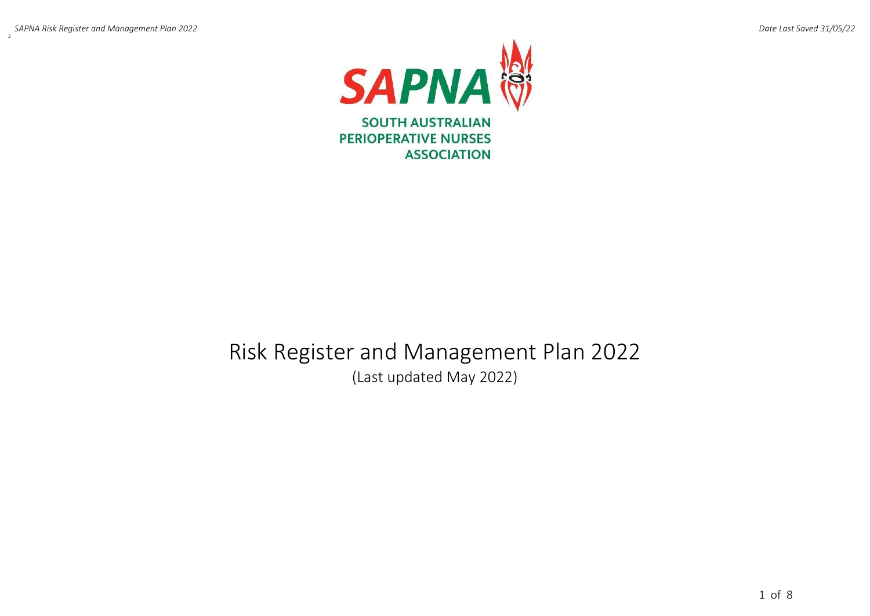

# Risk Register and Management Plan 2022 (Last updated May 2022)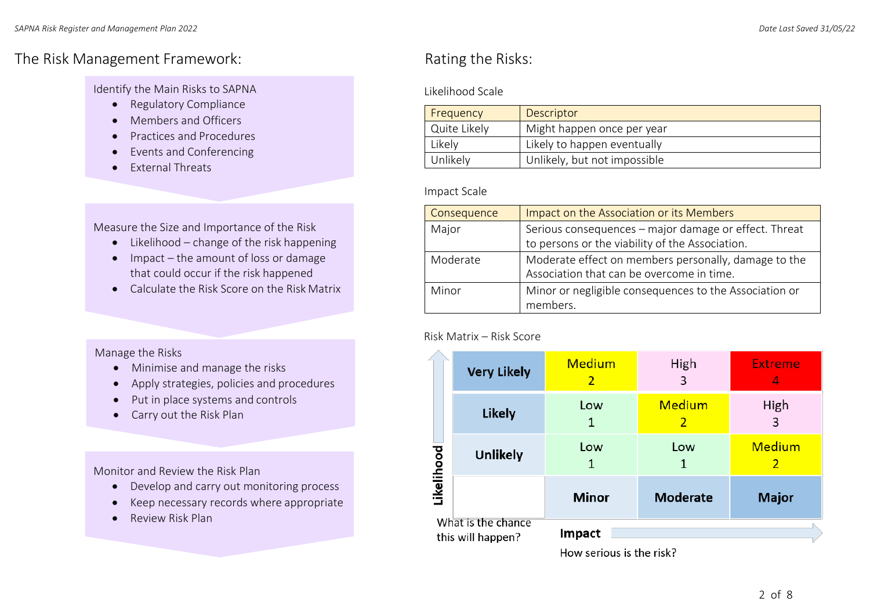# The Risk Management Framework: The Risks: Rating the Risks:

Identify the Main Risks to SAPNA

- Regulatory Compliance
- Members and Officers
- Practices and Procedures
- Events and Conferencing
- External Threats

Measure the Size and Importance of the Risk

- Likelihood change of the risk happening
- Impact the amount of loss or damage that could occur if the risk happened
- Calculate the Risk Score on the Risk Matrix

#### Manage the Risks

- Minimise and manage the risks
- Apply strategies, policies and procedures
- Put in place systems and controls
- Carry out the Risk Plan

Monitor and Review the Risk Plan

- Develop and carry out monitoring process
- Keep necessary records where appropriate
- Review Risk Plan

### Likelihood Scale

| Frequency    | Descriptor                   |
|--------------|------------------------------|
| Quite Likely | Might happen once per year   |
| Likely       | Likely to happen eventually  |
| Unlikely     | Unlikely, but not impossible |

#### Impact Scale

| Consequence | Impact on the Association or its Members                                                                 |
|-------------|----------------------------------------------------------------------------------------------------------|
| Major       | Serious consequences - major damage or effect. Threat<br>to persons or the viability of the Association. |
| Moderate    | Moderate effect on members personally, damage to the<br>Association that can be overcome in time.        |
| Minor       | Minor or negligible consequences to the Association or<br>members.                                       |

#### Risk Matrix – Risk Score

|            | <b>Very Likely</b>                      | <b>Medium</b><br>2 | High<br>3          | <b>Extreme</b><br>4 |  |  |
|------------|-----------------------------------------|--------------------|--------------------|---------------------|--|--|
|            | <b>Likely</b>                           | Low<br>1           | <b>Medium</b><br>2 | High<br>3           |  |  |
| Likelihood | <b>Unlikely</b>                         | Low<br>1           | Low<br>1           | <b>Medium</b><br>2  |  |  |
|            |                                         | <b>Minor</b>       | <b>Moderate</b>    | <b>Major</b>        |  |  |
|            | What is the chance<br>this will happen? | <b>Impact</b>      |                    |                     |  |  |

How serious is the risk?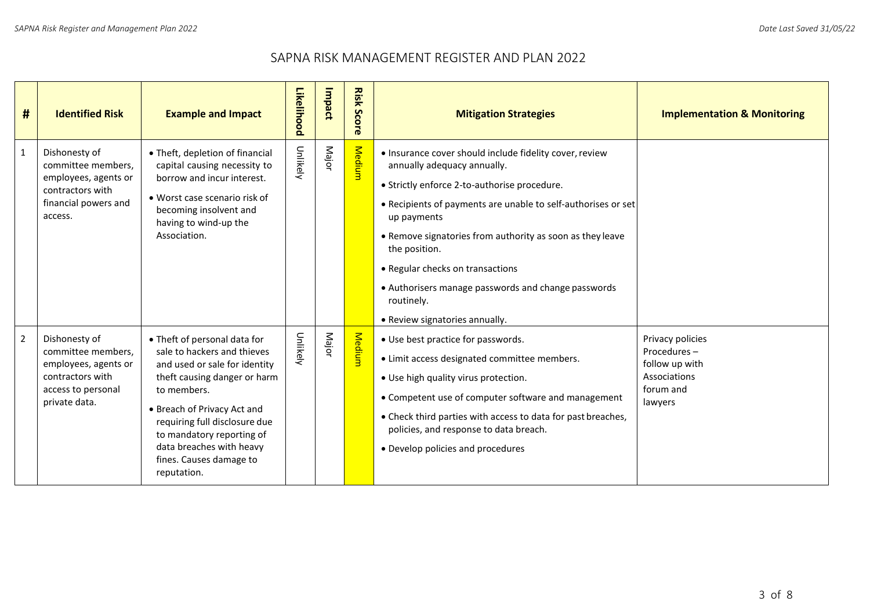## SAPNA RISK MANAGEMENT REGISTER AND PLAN 2022

| #              | <b>Identified Risk</b>                                                                                                 | <b>Example and Impact</b>                                                                                                                                                                                                                                                                                      | Likelihood | Impact | <b>Risk Score</b> | <b>Mitigation Strategies</b>                                                                                                                                                                                                                                                                                                                                                                                                                    | <b>Implementation &amp; Monitoring</b>                                                    |
|----------------|------------------------------------------------------------------------------------------------------------------------|----------------------------------------------------------------------------------------------------------------------------------------------------------------------------------------------------------------------------------------------------------------------------------------------------------------|------------|--------|-------------------|-------------------------------------------------------------------------------------------------------------------------------------------------------------------------------------------------------------------------------------------------------------------------------------------------------------------------------------------------------------------------------------------------------------------------------------------------|-------------------------------------------------------------------------------------------|
| $\mathbf{1}$   | Dishonesty of<br>committee members,<br>employees, agents or<br>contractors with<br>financial powers and<br>access.     | • Theft, depletion of financial<br>capital causing necessity to<br>borrow and incur interest.<br>• Worst case scenario risk of<br>becoming insolvent and<br>having to wind-up the<br>Association.                                                                                                              | Unlikely   | Major  | Medium            | . Insurance cover should include fidelity cover, review<br>annually adequacy annually.<br>• Strictly enforce 2-to-authorise procedure.<br>• Recipients of payments are unable to self-authorises or set<br>up payments<br>• Remove signatories from authority as soon as they leave<br>the position.<br>• Regular checks on transactions<br>• Authorisers manage passwords and change passwords<br>routinely.<br>• Review signatories annually. |                                                                                           |
| $\overline{2}$ | Dishonesty of<br>committee members,<br>employees, agents or<br>contractors with<br>access to personal<br>private data. | • Theft of personal data for<br>sale to hackers and thieves<br>and used or sale for identity<br>theft causing danger or harm<br>to members.<br>• Breach of Privacy Act and<br>requiring full disclosure due<br>to mandatory reporting of<br>data breaches with heavy<br>fines. Causes damage to<br>reputation. | Unlikely   | Major  | <b>Medium</b>     | • Use best practice for passwords.<br>• Limit access designated committee members.<br>. Use high quality virus protection.<br>• Competent use of computer software and management<br>• Check third parties with access to data for past breaches,<br>policies, and response to data breach.<br>• Develop policies and procedures                                                                                                                | Privacy policies<br>Procedures-<br>follow up with<br>Associations<br>forum and<br>lawyers |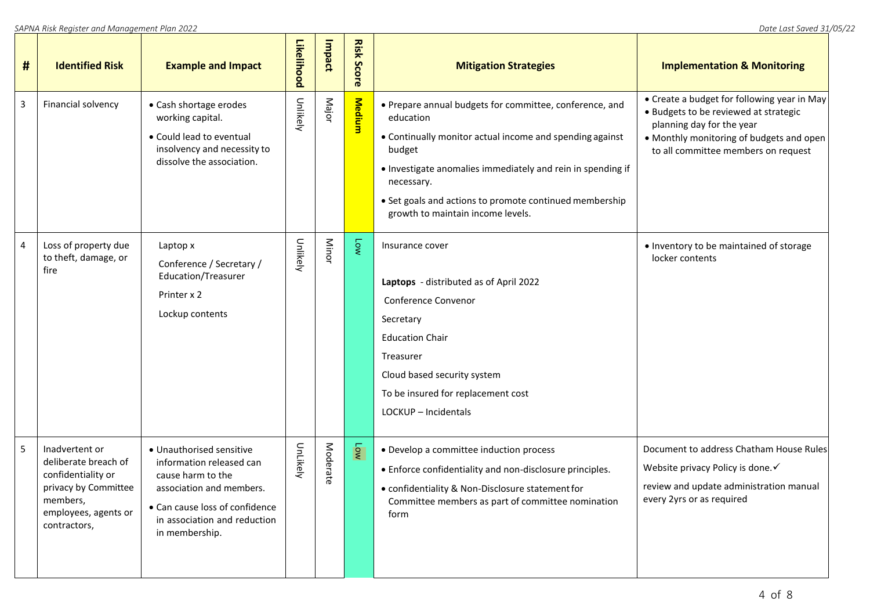| # | <b>Identified Risk</b>                                                                                                                   | <b>Example and Impact</b>                                                                                                                                                                 | Likelihood | Impact   | <b>Risk Score</b> | <b>Mitigation Strategies</b>                                                                                                                                                                                                                                                                                            | <b>Implementation &amp; Monitoring</b>                                                                                                                                                               |
|---|------------------------------------------------------------------------------------------------------------------------------------------|-------------------------------------------------------------------------------------------------------------------------------------------------------------------------------------------|------------|----------|-------------------|-------------------------------------------------------------------------------------------------------------------------------------------------------------------------------------------------------------------------------------------------------------------------------------------------------------------------|------------------------------------------------------------------------------------------------------------------------------------------------------------------------------------------------------|
| 3 | Financial solvency                                                                                                                       | • Cash shortage erodes<br>working capital.<br>• Could lead to eventual<br>insolvency and necessity to<br>dissolve the association.                                                        | Unlikely   | Major    | <b>Medium</b>     | • Prepare annual budgets for committee, conference, and<br>education<br>• Continually monitor actual income and spending against<br>budget<br>. Investigate anomalies immediately and rein in spending if<br>necessary.<br>• Set goals and actions to promote continued membership<br>growth to maintain income levels. | • Create a budget for following year in May<br>• Budgets to be reviewed at strategic<br>planning day for the year<br>• Monthly monitoring of budgets and open<br>to all committee members on request |
| 4 | Loss of property due<br>to theft, damage, or<br>fire                                                                                     | Laptop x<br>Conference / Secretary /<br>Education/Treasurer<br>Printer x 2<br>Lockup contents                                                                                             | Unlikely   | Minor    | N                 | Insurance cover<br>Laptops - distributed as of April 2022<br>Conference Convenor<br>Secretary<br><b>Education Chair</b><br>Treasurer<br>Cloud based security system<br>To be insured for replacement cost<br>LOCKUP - Incidentals                                                                                       | • Inventory to be maintained of storage<br>locker contents                                                                                                                                           |
| 5 | Inadvertent or<br>deliberate breach of<br>confidentiality or<br>privacy by Committee<br>members,<br>employees, agents or<br>contractors, | • Unauthorised sensitive<br>information released can<br>cause harm to the<br>association and members.<br>• Can cause loss of confidence<br>in association and reduction<br>in membership. | UnLikely   | Moderate |                   | • Develop a committee induction process<br>• Enforce confidentiality and non-disclosure principles.<br>• confidentiality & Non-Disclosure statement for<br>Committee members as part of committee nomination<br>form                                                                                                    | Document to address Chatham House Rules<br>Website privacy Policy is done. ✓<br>review and update administration manual<br>every 2yrs or as required                                                 |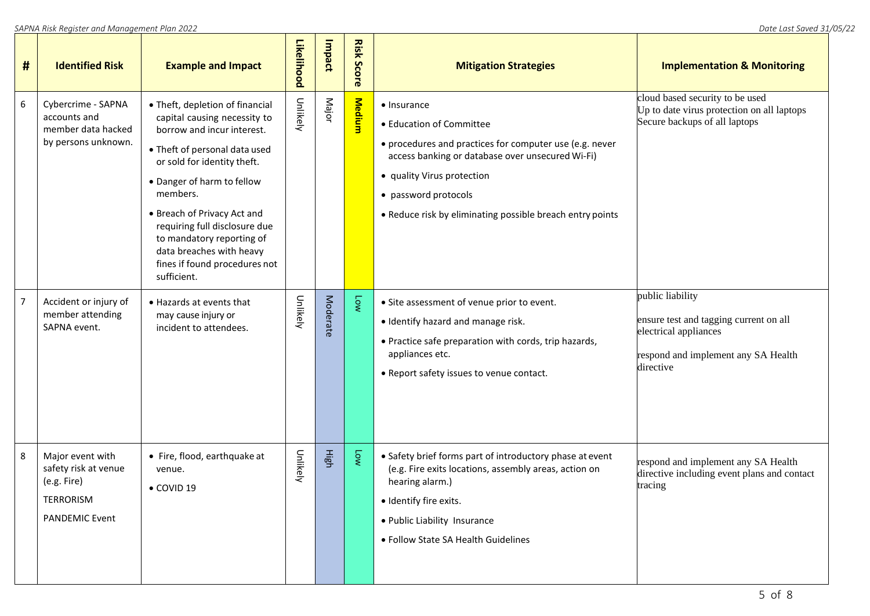| # | <b>Identified Risk</b>                                                                        | <b>Example and Impact</b>                                                                                                                                                                                                                                                                                                                                                        | Likelihood | Impact   | <b>Risk Score</b>        | <b>Mitigation Strategies</b>                                                                                                                                                                                                                                              | <b>Implementation &amp; Monitoring</b>                                                                                                  |
|---|-----------------------------------------------------------------------------------------------|----------------------------------------------------------------------------------------------------------------------------------------------------------------------------------------------------------------------------------------------------------------------------------------------------------------------------------------------------------------------------------|------------|----------|--------------------------|---------------------------------------------------------------------------------------------------------------------------------------------------------------------------------------------------------------------------------------------------------------------------|-----------------------------------------------------------------------------------------------------------------------------------------|
| 6 | Cybercrime - SAPNA<br>accounts and<br>member data hacked<br>by persons unknown.               | • Theft, depletion of financial<br>capital causing necessity to<br>borrow and incur interest.<br>• Theft of personal data used<br>or sold for identity theft.<br>• Danger of harm to fellow<br>members.<br>• Breach of Privacy Act and<br>requiring full disclosure due<br>to mandatory reporting of<br>data breaches with heavy<br>fines if found procedures not<br>sufficient. | Unlikely   | Major    | <b>Medium</b>            | • Insurance<br>• Education of Committee<br>• procedures and practices for computer use (e.g. never<br>access banking or database over unsecured Wi-Fi)<br>• quality Virus protection<br>• password protocols<br>. Reduce risk by eliminating possible breach entry points | cloud based security to be used<br>Up to date virus protection on all laptops<br>Secure backups of all laptops                          |
| 7 | Accident or injury of<br>member attending<br>SAPNA event.                                     | • Hazards at events that<br>may cause injury or<br>incident to attendees.                                                                                                                                                                                                                                                                                                        | Unlikely   | Moderate | M <sub>o</sub>           | • Site assessment of venue prior to event.<br>· Identify hazard and manage risk.<br>• Practice safe preparation with cords, trip hazards,<br>appliances etc.<br>• Report safety issues to venue contact.                                                                  | public liability<br>ensure test and tagging current on all<br>electrical appliances<br>respond and implement any SA Health<br>directive |
| 8 | Major event with<br>safety risk at venue<br>(e.g. Fire)<br>TERRORISM<br><b>PANDEMIC Event</b> | • Fire, flood, earthquake at<br>venue.<br>• COVID 19                                                                                                                                                                                                                                                                                                                             | Unlikely   | High     | $\overline{\phantom{a}}$ | • Safety brief forms part of introductory phase at event<br>(e.g. Fire exits locations, assembly areas, action on<br>hearing alarm.)<br>· Identify fire exits.<br>• Public Liability Insurance<br>• Follow State SA Health Guidelines                                     | respond and implement any SA Health<br>directive including event plans and contact<br>tracing                                           |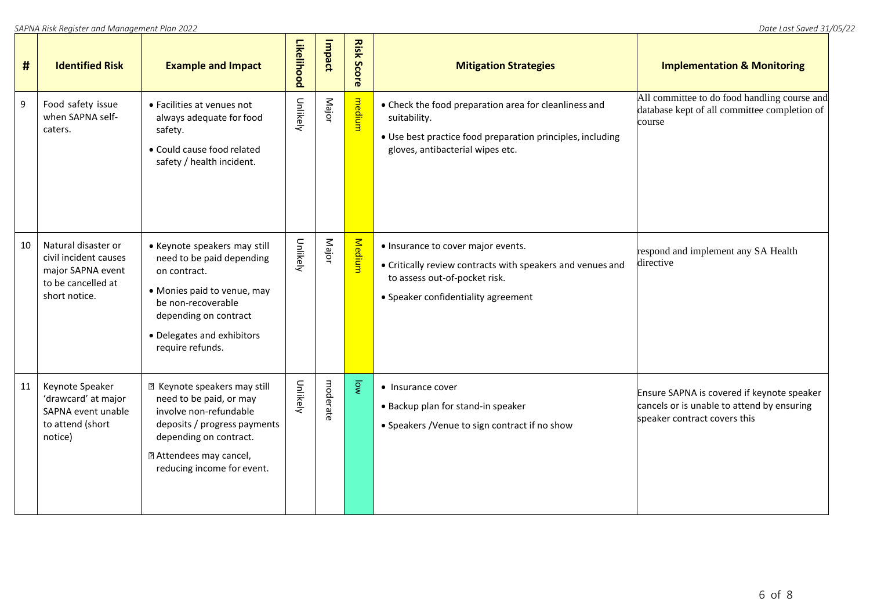| #  | <b>Identified Risk</b>                                                                                   | <b>Example and Impact</b>                                                                                                                                                                                   | Likelihood | Impact   | <b>Risk Score</b> | <b>Mitigation Strategies</b>                                                                                                                                             | <b>Implementation &amp; Monitoring</b>                                                                                   |
|----|----------------------------------------------------------------------------------------------------------|-------------------------------------------------------------------------------------------------------------------------------------------------------------------------------------------------------------|------------|----------|-------------------|--------------------------------------------------------------------------------------------------------------------------------------------------------------------------|--------------------------------------------------------------------------------------------------------------------------|
| 9  | Food safety issue<br>when SAPNA self-<br>caters.                                                         | • Facilities at venues not<br>always adequate for food<br>safety.<br>• Could cause food related<br>safety / health incident.                                                                                | Unlikely   | Major    | medium            | • Check the food preparation area for cleanliness and<br>suitability.<br>• Use best practice food preparation principles, including<br>gloves, antibacterial wipes etc.  | All committee to do food handling course and<br>database kept of all committee completion of<br>course                   |
| 10 | Natural disaster or<br>civil incident causes<br>major SAPNA event<br>to be cancelled at<br>short notice. | • Keynote speakers may still<br>need to be paid depending<br>on contract.<br>· Monies paid to venue, may<br>be non-recoverable<br>depending on contract<br>• Delegates and exhibitors<br>require refunds.   | Unlikely   | Major    | Medium            | • Insurance to cover major events.<br>• Critically review contracts with speakers and venues and<br>to assess out-of-pocket risk.<br>• Speaker confidentiality agreement | respond and implement any SA Health<br>directive                                                                         |
| 11 | Keynote Speaker<br>'drawcard' at major<br>SAPNA event unable<br>to attend (short<br>notice)              | <b>图 Keynote speakers may still</b><br>need to be paid, or may<br>involve non-refundable<br>deposits / progress payments<br>depending on contract.<br>7 Attendees may cancel,<br>reducing income for event. | Unlikely   | moderate | <b>DW</b>         | • Insurance cover<br>• Backup plan for stand-in speaker<br>• Speakers / Venue to sign contract if no show                                                                | Ensure SAPNA is covered if keynote speaker<br>cancels or is unable to attend by ensuring<br>speaker contract covers this |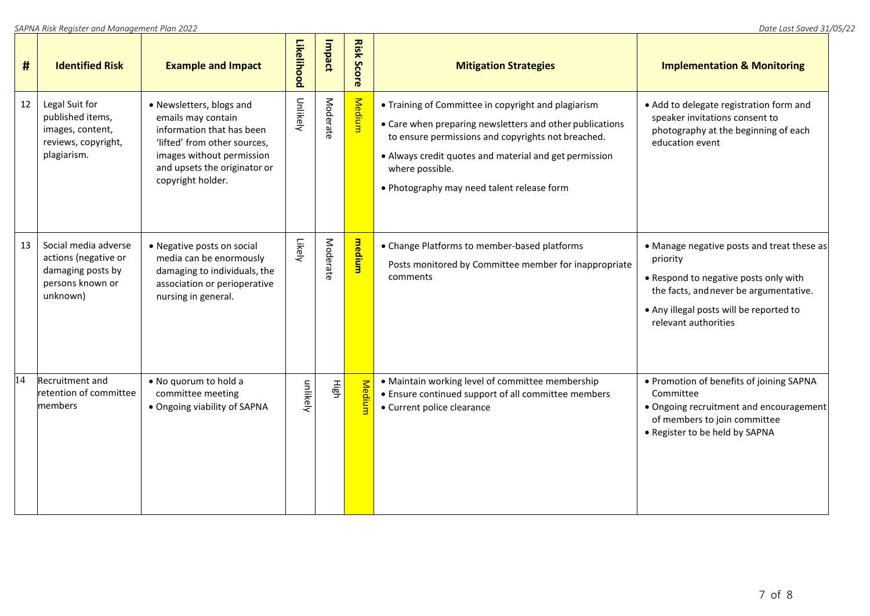| #  | <b>Identified Risk</b>                                                                            | <b>Example and Impact</b>                                                                                                                                                                     | Likelihood | Impact   | <b>Risk Score</b> | <b>Mitigation Strategies</b>                                                                                                                                                                                                                                                                     | <b>Implementation &amp; Monitoring</b>                                                                                                                                                                       |
|----|---------------------------------------------------------------------------------------------------|-----------------------------------------------------------------------------------------------------------------------------------------------------------------------------------------------|------------|----------|-------------------|--------------------------------------------------------------------------------------------------------------------------------------------------------------------------------------------------------------------------------------------------------------------------------------------------|--------------------------------------------------------------------------------------------------------------------------------------------------------------------------------------------------------------|
| 12 | Legal Suit for<br>published items,<br>images, content,<br>reviews, copyright,<br>plagiarism.      | • Newsletters, blogs and<br>emails may contain<br>information that has been<br>'lifted' from other sources,<br>images without permission<br>and upsets the originator or<br>copyright holder. | Unlikely   | Moderate | Medium            | • Training of Committee in copyright and plagiarism<br>• Care when preparing newsletters and other publications<br>to ensure permissions and copyrights not breached.<br>• Always credit quotes and material and get permission<br>where possible.<br>. Photography may need talent release form | • Add to delegate registration form and<br>speaker invitations consent to<br>photography at the beginning of each<br>education event                                                                         |
| 13 | Social media adverse<br>actions (negative or<br>damaging posts by<br>persons known or<br>unknown) | • Negative posts on social<br>media can be enormously<br>damaging to individuals, the<br>association or perioperative<br>nursing in general.                                                  | Likely     | Moderate | medium            | • Change Platforms to member-based platforms<br>Posts monitored by Committee member for inappropriate<br>comments                                                                                                                                                                                | • Manage negative posts and treat these as<br>priority<br>• Respond to negative posts only with<br>the facts, and never be argumentative.<br>. Any illegal posts will be reported to<br>relevant authorities |
| 14 | Recruitment and<br>retention of committee<br>members                                              | . No quorum to hold a<br>committee meeting<br>• Ongoing viability of SAPNA                                                                                                                    | unlikely   | High     | <b>Medium</b>     | • Maintain working level of committee membership<br>• Ensure continued support of all committee members<br>• Current police clearance                                                                                                                                                            | • Promotion of benefits of joining SAPNA<br>Committee<br>• Ongoing recruitment and encouragement<br>of members to join committee<br>• Register to be held by SAPNA                                           |